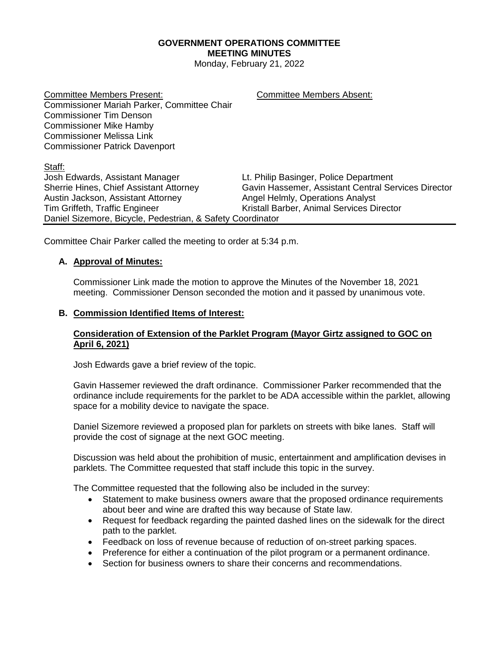## **GOVERNMENT OPERATIONS COMMITTEE MEETING MINUTES**

Monday, February 21, 2022

Committee Members Present: Committee Members Absent: Commissioner Mariah Parker, Committee Chair Commissioner Tim Denson Commissioner Mike Hamby Commissioner Melissa Link Commissioner Patrick Davenport

Staff:

Josh Edwards, Assistant Manager Lt. Philip Basinger, Police Department Sherrie Hines, Chief Assistant Attorney Gavin Hassemer, Assistant Central Services Director Austin Jackson, Assistant Attorney **Angel Helmly, Operations Analyst** Tim Griffeth, Traffic Engineer Kristall Barber, Animal Services Director Daniel Sizemore, Bicycle, Pedestrian, & Safety Coordinator

Committee Chair Parker called the meeting to order at 5:34 p.m.

# **A. Approval of Minutes:**

Commissioner Link made the motion to approve the Minutes of the November 18, 2021 meeting. Commissioner Denson seconded the motion and it passed by unanimous vote.

### **B. Commission Identified Items of Interest:**

### **Consideration of Extension of the Parklet Program (Mayor Girtz assigned to GOC on April 6, 2021)**

Josh Edwards gave a brief review of the topic.

Gavin Hassemer reviewed the draft ordinance. Commissioner Parker recommended that the ordinance include requirements for the parklet to be ADA accessible within the parklet, allowing space for a mobility device to navigate the space.

Daniel Sizemore reviewed a proposed plan for parklets on streets with bike lanes. Staff will provide the cost of signage at the next GOC meeting.

Discussion was held about the prohibition of music, entertainment and amplification devises in parklets. The Committee requested that staff include this topic in the survey.

The Committee requested that the following also be included in the survey:

- Statement to make business owners aware that the proposed ordinance requirements about beer and wine are drafted this way because of State law.
- Request for feedback regarding the painted dashed lines on the sidewalk for the direct path to the parklet.
- Feedback on loss of revenue because of reduction of on-street parking spaces.
- Preference for either a continuation of the pilot program or a permanent ordinance.
- Section for business owners to share their concerns and recommendations.